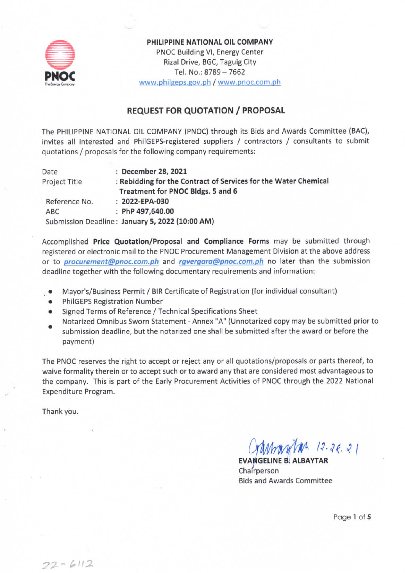

PHILIPPINE NATIONAL OIL COMPANY PNOC Building VI, Energy Center Rizal Drive, BGC, Taguig City Tel. No.: 8789 - 7662 www.philgeps.gov.ph / www.pnoc.com.ph

## **REQUEST FOR QUOTATION / PROPOSAL**

The PHILIPPINE NATIONAL OIL COMPANY (PNOC) through its Bids and Awards Committee (BAC), invites all interested and PhilGEPS-registered suppliers / contractors / consultants to submit quotations / proposals for the following company requirements:

| Date          | December 28, 2021                                               |  |
|---------------|-----------------------------------------------------------------|--|
| Project Title | : Rebidding for the Contract of Services for the Water Chemical |  |
|               | Treatment for PNOC Bldgs. 5 and 6                               |  |
| Reference No. | $: 2022 - EPA-030$                                              |  |
| ABC           | : PhP 497,640.00                                                |  |
|               | Submission Deadline: January 5, 2022 (10:00 AM)                 |  |

Accomplished Price Quotation/Proposal and Compliance Forms may be submitted through registered or electronic mail to the PNOC Procurement Management Division at the above address or to *procurement@pnoc.com.ph* and *rgvergara@pnoc.com.ph* no later than the submission deadline together with the following documentary requirements and information:

- Mayor's/Business Permit / BIR Certificate of Registration (for individual consultant)
- **PhilGEPS Registration Number**
- Signed Terms of Reference / Technical Specifications Sheet
- Notarized Omnibus Sworn Statement Annex "A" (Unnotarized copy may be submitted prior to  $\bullet$
- submission deadline, but the notarized one shall be submitted after the award or before the payment)

The PNOC reserves the right to accept or reject any or all quotations/proposals or parts thereof, to waive formality therein or to accept such or to award any that are considered most advantageous to the company. This is part of the Early Procurement Activities of PNOC through the 2022 National Expenditure Program.

Thank you.

 $12.26.21$ 

Chairperson **Bids and Awards Committee** 

Page 1 of 5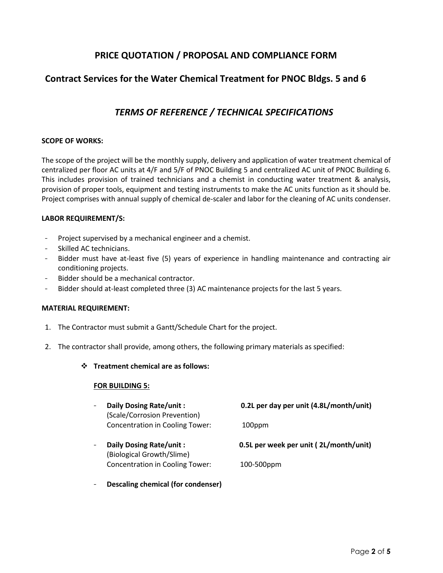# **PRICE QUOTATION / PROPOSAL AND COMPLIANCE FORM**

## **Contract Services for the Water Chemical Treatment for PNOC Bldgs. 5 and 6**

# *TERMS OF REFERENCE / TECHNICAL SPECIFICATIONS*

## **SCOPE OF WORKS:**

The scope of the project will be the monthly supply, delivery and application of water treatment chemical of centralized per floor AC units at 4/F and 5/F of PNOC Building 5 and centralized AC unit of PNOC Building 6. This includes provision of trained technicians and a chemist in conducting water treatment & analysis, provision of proper tools, equipment and testing instruments to make the AC units function as it should be. Project comprises with annual supply of chemical de-scaler and labor for the cleaning of AC units condenser.

#### **LABOR REQUIREMENT/S:**

- Project supervised by a mechanical engineer and a chemist.
- Skilled AC technicians.
- Bidder must have at-least five (5) years of experience in handling maintenance and contracting air conditioning projects.
- Bidder should be a mechanical contractor.
- Bidder should at-least completed three (3) AC maintenance projects for the last 5 years.

#### **MATERIAL REQUIREMENT:**

- 1. The Contractor must submit a Gantt/Schedule Chart for the project.
- 2. The contractor shall provide, among others, the following primary materials as specified:

#### **Treatment chemical are as follows:**

#### **FOR BUILDING 5:**

| Daily Dosing Rate/unit:<br>(Scale/Corrosion Prevention) | 0.2L per day per unit (4.8L/month/unit) |
|---------------------------------------------------------|-----------------------------------------|
| <b>Concentration in Cooling Tower:</b>                  | 100ppm                                  |
|                                                         |                                         |
| Daily Dosing Rate/unit:<br>(Biological Growth/Slime)    | 0.5L per week per unit (2L/month/unit)  |

**Descaling chemical (for condenser)**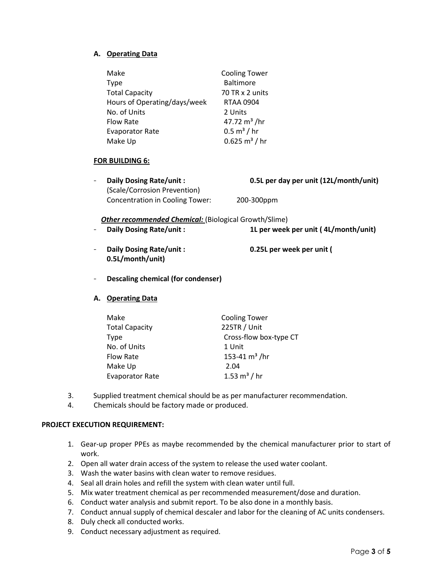## **A. Operating Data**

| Make                         | <b>Cooling Tower</b>     |
|------------------------------|--------------------------|
| <b>Type</b>                  | <b>Baltimore</b>         |
| <b>Total Capacity</b>        | 70 TR x 2 units          |
| Hours of Operating/days/week | <b>RTAA 0904</b>         |
| No. of Units                 | 2 Units                  |
| <b>Flow Rate</b>             | 47.72 $m3$ /hr           |
| <b>Evaporator Rate</b>       | $0.5 \text{ m}^3$ / hr   |
| Make Up                      | $0.625 \text{ m}^3$ / hr |

#### **FOR BUILDING 6:**

| Daily Dosing Rate/unit:         | 0.5L per day per unit (12L/month/unit) |
|---------------------------------|----------------------------------------|
| (Scale/Corrosion Prevention)    |                                        |
| Concentration in Cooling Tower: | 200-300ppm                             |

#### **Other recommended Chemical:** (Biological Growth/Slime)

| Daily Dosing Rate/unit: | 1L per week per unit (4L/month/unit) |
|-------------------------|--------------------------------------|
|                         |                                      |

- **Daily Dosing Rate/unit : 0.25L per week per unit ( 0.5L/month/unit)**
- **Descaling chemical (for condenser)**

## **A. Operating Data**

| Make                   | <b>Cooling Tower</b>   |
|------------------------|------------------------|
| <b>Total Capacity</b>  | 225TR / Unit           |
| <b>Type</b>            | Cross-flow box-type CT |
| No. of Units           | 1 Unit                 |
| <b>Flow Rate</b>       | 153-41 $m3$ /hr        |
| Make Up                | 2.04                   |
| <b>Evaporator Rate</b> | 1.53 $m^3$ / hr        |

- 3. Supplied treatment chemical should be as per manufacturer recommendation.
- 4. Chemicals should be factory made or produced.

## **PROJECT EXECUTION REQUIREMENT:**

- 1. Gear-up proper PPEs as maybe recommended by the chemical manufacturer prior to start of work.
- 2. Open all water drain access of the system to release the used water coolant.
- 3. Wash the water basins with clean water to remove residues.
- 4. Seal all drain holes and refill the system with clean water until full.
- 5. Mix water treatment chemical as per recommended measurement/dose and duration.
- 6. Conduct water analysis and submit report. To be also done in a monthly basis.
- 7. Conduct annual supply of chemical descaler and labor for the cleaning of AC units condensers.
- 8. Duly check all conducted works.
- 9. Conduct necessary adjustment as required.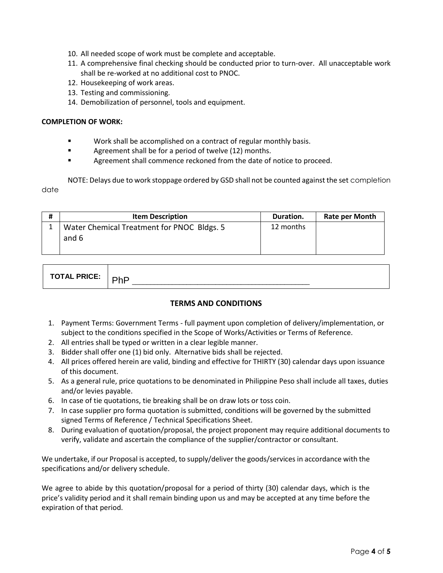- 10. All needed scope of work must be complete and acceptable.
- 11. A comprehensive final checking should be conducted prior to turn-over. All unacceptable work shall be re-worked at no additional cost to PNOC.
- 12. Housekeeping of work areas.
- 13. Testing and commissioning.
- 14. Demobilization of personnel, tools and equipment.

#### **COMPLETION OF WORK:**

- **Work shall be accomplished on a contract of regular monthly basis.**
- **Example 2** Agreement shall be for a period of twelve (12) months.
- Agreement shall commence reckoned from the date of notice to proceed.

NOTE: Delays due to work stoppage ordered by GSD shall not be counted against the set completion date

| # | <b>Item Description</b>                    | Duration. | <b>Rate per Month</b> |
|---|--------------------------------------------|-----------|-----------------------|
|   | Water Chemical Treatment for PNOC Bldgs. 5 | 12 months |                       |
|   | and 6                                      |           |                       |
|   |                                            |           |                       |

| ות דר<br>. .<br>. <b>.</b> . | . |
|------------------------------|---|
|------------------------------|---|

## **TERMS AND CONDITIONS**

- 1. Payment Terms: Government Terms full payment upon completion of delivery/implementation, or subject to the conditions specified in the Scope of Works/Activities or Terms of Reference.
- 2. All entries shall be typed or written in a clear legible manner.
- 3. Bidder shall offer one (1) bid only. Alternative bids shall be rejected.
- 4. All prices offered herein are valid, binding and effective for THIRTY (30) calendar days upon issuance of this document.
- 5. As a general rule, price quotations to be denominated in Philippine Peso shall include all taxes, duties and/or levies payable.
- 6. In case of tie quotations, tie breaking shall be on draw lots or toss coin.
- 7. In case supplier pro forma quotation is submitted, conditions will be governed by the submitted signed Terms of Reference / Technical Specifications Sheet.
- 8. During evaluation of quotation/proposal, the project proponent may require additional documents to verify, validate and ascertain the compliance of the supplier/contractor or consultant.

We undertake, if our Proposal is accepted, to supply/deliver the goods/services in accordance with the specifications and/or delivery schedule.

We agree to abide by this quotation/proposal for a period of thirty (30) calendar days, which is the price's validity period and it shall remain binding upon us and may be accepted at any time before the expiration of that period.